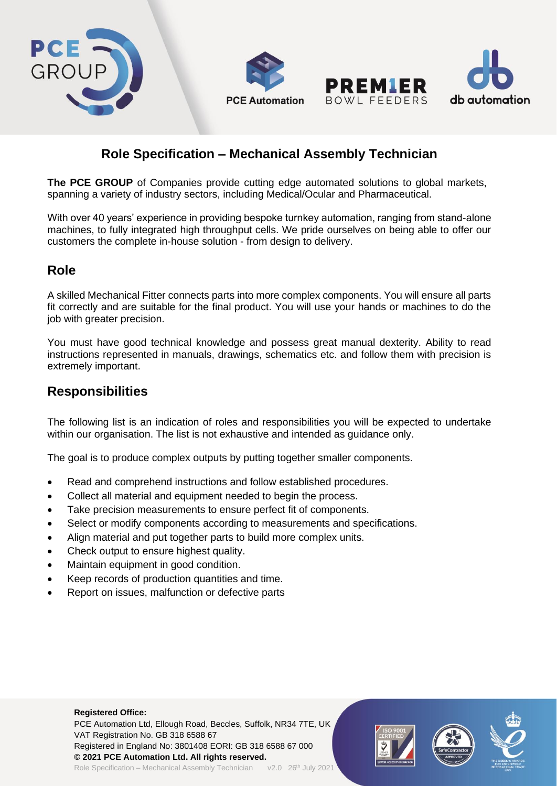

# **Role Specification – Mechanical Assembly Technician**

**The PCE GROUP** of Companies provide cutting edge automated solutions to global markets, spanning a variety of industry sectors, including Medical/Ocular and Pharmaceutical.

With over 40 years' experience in providing bespoke turnkey automation, ranging from stand-alone machines, to fully integrated high throughput cells. We pride ourselves on being able to offer our customers the complete in-house solution - from design to delivery.

## **Role**

A skilled Mechanical Fitter connects parts into more complex components. You will ensure all parts fit correctly and are suitable for the final product. You will use your hands or machines to do the job with greater precision.

You must have good technical knowledge and possess great manual dexterity. Ability to read instructions represented in manuals, drawings, schematics etc. and follow them with precision is extremely important.

### **Responsibilities**

The following list is an indication of roles and responsibilities you will be expected to undertake within our organisation. The list is not exhaustive and intended as guidance only.

The goal is to produce complex outputs by putting together smaller components.

- Read and comprehend instructions and follow established procedures.
- Collect all material and equipment needed to begin the process.
- Take precision measurements to ensure perfect fit of components.
- Select or modify components according to measurements and specifications.
- Align material and put together parts to build more complex units.
- Check output to ensure highest quality.
- Maintain equipment in good condition.
- Keep records of production quantities and time.
- Report on issues, malfunction or defective parts

#### **Registered Office:**

PCE Automation Ltd, Ellough Road, Beccles, Suffolk, NR34 7TE, UK VAT Registration No. GB 318 6588 67 Registered in England No: 3801408 EORI: GB 318 6588 67 000 **© 2021 PCE Automation Ltd. All rights reserved.** Role Specification – Mechanical Assembly Technician v2.0 26<sup>th</sup> July 2021